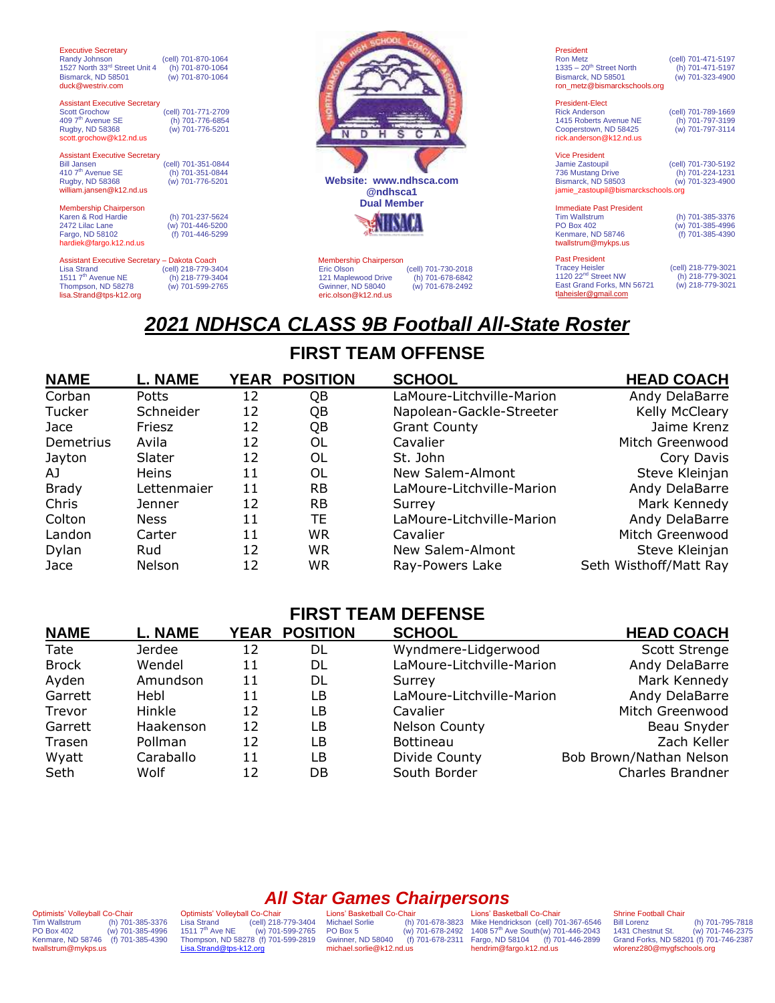| <b>Executive Secretary</b><br>Randy Johnson<br>1527 North 33rd Street Unit 4<br>Bismarck, ND 58501<br>duck@westriv.com | (cell) 701-870-1064<br>(h) 701-870-1064<br>(w) 701-870-1064 |                                         |
|------------------------------------------------------------------------------------------------------------------------|-------------------------------------------------------------|-----------------------------------------|
|                                                                                                                        |                                                             |                                         |
| <b>Assistant Executive Secretary</b>                                                                                   |                                                             |                                         |
| <b>Scott Grochow</b>                                                                                                   | (cell) 701-771-2709                                         |                                         |
| 409 7 <sup>th</sup> Avenue SE                                                                                          | (h) 701-776-6854                                            |                                         |
| Rugby, ND 58368                                                                                                        | (w) 701-776-5201                                            |                                         |
| scott.grochow@k12.nd.us                                                                                                |                                                             |                                         |
| <b>Assistant Executive Secretary</b>                                                                                   |                                                             |                                         |
| <b>Bill Jansen</b>                                                                                                     | (cell) 701-351-0844                                         |                                         |
| 410 7 <sup>th</sup> Avenue SE                                                                                          | (h) 701-351-0844                                            |                                         |
| Rugby, ND 58368                                                                                                        | (w) 701-776-5201                                            | Website: www.ndh                        |
| william.jansen@k12.nd.us                                                                                               |                                                             | @ndhsca1                                |
|                                                                                                                        |                                                             | <b>Dual Membe</b>                       |
| <b>Membership Chairperson</b>                                                                                          |                                                             |                                         |
| Karen & Rod Hardie                                                                                                     | (h) 701-237-5624                                            |                                         |
| 2472 Lilac Lane                                                                                                        | (w) 701-446-5200                                            |                                         |
| Fargo, ND 58102                                                                                                        | (f) 701-446-5299                                            |                                         |
| hardiek@fargo.k12.nd.us                                                                                                |                                                             |                                         |
| Assistant Executive Secretary - Dakota Coach                                                                           |                                                             | <b>Membership Chairperson</b>           |
| <b>Lisa Strand</b>                                                                                                     | (cell) 218-779-3404                                         | Eric Olson<br>(ce                       |
| 1511 7 <sup>th</sup> Avenue NE                                                                                         | (h) 218-779-3404                                            | 121 Maplewood Drive<br>$\left( \right $ |
| Thompson, ND 58278                                                                                                     | (w) 701-599-2765                                            | Gwinner, ND 58040<br>$(\mathsf{v})$     |
| lisa.Strand@tps-k12.org                                                                                                |                                                             | eric.olson@k12.nd.us                    |
|                                                                                                                        |                                                             |                                         |



11, 101 106 2010<br>h) 701-678-6842  $(w)$  701-678-2492 [eric.olson@k12.nd.us](mailto:eric.olson@k12.nd.us)

| President                              |                     |
|----------------------------------------|---------------------|
| <b>Ron Metz</b>                        | (cell) 701-471-5197 |
| $1335 - 20$ <sup>th</sup> Street North | (h) 701-471-5197    |
| Bismarck, ND 58501                     | (w) 701-323-4900    |
| ron metz@bismarckschools.org           |                     |

President-Elect Rick Anderson (cell) 701-789-1669<br>1415 Roberts Avenue NE (h) 701-797-3199 1415 Roberts Avenue NE (h) 701-797-3199 Cooperstown, ND 58425 (w) 701-797-3114 [rick.anderson@k12.nd.us](mailto:rick.anderson@k12.nd.us)

| <b>Vice President</b>               |                     |
|-------------------------------------|---------------------|
| Jamie Zastoupil                     | (cell) 701-730-5192 |
| 736 Mustang Drive                   | (h) 701-224-1231    |
| Bismarck, ND 58503                  | (w) 701-323-4900    |
| jamie zastoupil@bismarckschools.org |                     |
|                                     |                     |

Immediate Past President<br>Tim Wallstrum<br>PO Box 402 Tim Wallstrum (h) 701-385-3376 PO Box 402 (w) 701-385-4996 Kenmare, ND 58746 (f) 701-385-4390 twallstrum@mykps.us

Past President cell) 218-779-3021)<br>1120 22<sup>nd</sup> Street NW (h) 218-779-3021<br>East Grand Forks, MN 56721 (w) 218-779-3021 tlaheisler@gmail.com

# *2021 NDHSCA CLASS 9B Football All-State Roster*

## **FIRST TEAM OFFENSE**

| <b>NAME</b>  | <b>L. NAME</b> | <b>YEAR</b> | <b>POSITION</b> | <b>SCHOOL</b>             | <b>HEAD COACH</b>      |
|--------------|----------------|-------------|-----------------|---------------------------|------------------------|
| Corban       | Potts          | 12          | QB              | LaMoure-Litchville-Marion | Andy DelaBarre         |
| Tucker       | Schneider      | 12          | QB              | Napolean-Gackle-Streeter  | Kelly McCleary         |
| Jace         | Friesz         | 12          | QB              | <b>Grant County</b>       | Jaime Krenz            |
| Demetrius    | Avila          | 12          | OL              | Cavalier                  | Mitch Greenwood        |
| Jayton       | Slater         | 12          | OL              | St. John                  | Cory Davis             |
| AJ           | <b>Heins</b>   | 11          | OL              | New Salem-Almont          | Steve Kleinjan         |
| <b>Brady</b> | Lettenmaier    | 11          | <b>RB</b>       | LaMoure-Litchville-Marion | Andy DelaBarre         |
| Chris        | Jenner         | 12          | <b>RB</b>       | Surrey                    | Mark Kennedy           |
| Colton       | <b>Ness</b>    | 11          | ТE              | LaMoure-Litchville-Marion | Andy DelaBarre         |
| Landon       | Carter         | 11          | WR              | Cavalier                  | Mitch Greenwood        |
| Dylan        | Rud            | 12          | <b>WR</b>       | New Salem-Almont          | Steve Kleinjan         |
| Jace         | Nelson         | 12          | WR              | Ray-Powers Lake           | Seth Wisthoff/Matt Ray |

#### **FIRST TEAM DEFENSE**

| <b>NAME</b>  | <b>L. NAME</b> |    | <b>YEAR POSITION</b> | <b>SCHOOL</b>             | <b>HEAD COACH</b>       |
|--------------|----------------|----|----------------------|---------------------------|-------------------------|
| Tate         | Jerdee         | 12 | DL                   | Wyndmere-Lidgerwood       | Scott Strenge           |
| <b>Brock</b> | Wendel         | 11 | DL                   | LaMoure-Litchville-Marion | Andy DelaBarre          |
| Ayden        | Amundson       | 11 | DL                   | Surrey                    | Mark Kennedy            |
| Garrett      | Hebl           | 11 | LB                   | LaMoure-Litchville-Marion | Andy DelaBarre          |
| Trevor       | Hinkle         | 12 | LВ                   | Cavalier                  | Mitch Greenwood         |
| Garrett      | Haakenson      | 12 | LВ                   | Nelson County             | Beau Snyder             |
| Trasen       | Pollman        | 12 | LВ                   | <b>Bottineau</b>          | Zach Keller             |
| Wyatt        | Caraballo      | 11 | LВ                   | Divide County             | Bob Brown/Nathan Nelson |
| Seth         | Wolf           | 12 | DB                   | South Border              | Charles Brandner        |

Optimists' Volleyball Co-Chair<br>Tim Wallstrum (h) 701-Tim Wallstrum (h) 701-385-3376 PO Box 402 (w) 701-385-4996 Kenmare, ND 58746 (f) 701-385-4390 twallstrum@mykps.us

Optimists' Volleyball Co-Chair Lisa Strand (cell) 218-779-3404 1511 7th Ave NE (w) 701-599-2765 Thompson, ND 58278 (f) 701-599-2819 [Lisa.Strand@tps-k12.org](mailto:Lisa.Strand@tps-k12.org)

*All Star Games Chairpersons* Lions' Basketball Co-Chair<br>Michael Sorlie (h)<br>PO Box 5 (w) Gwinner, ND 58040 michael.sorlie@k12.nd.us

Michael Sorlie (h) 701-678-3823 PO Box 5 (w) 701-678-2492 Mike Hendrickson (cell) 701-367-6546 1408 57th Ave South(w) 701-446-2043 Fargo, ND 58104 (f) 701-446-2899 Lions' Basketball Co-Chair hendrim@fargo.k12.nd.us

## Shrine Football Chair<br>Bill Lorenz

Bill Lorenz (h) 701-795-7818<br>1431 Chestnut St. (w) 701-746-2375 1431 Chestnut St. (w) 701-746-2375 Grand Forks, ND 58201 (f) 701-746-2387 wlorenz280@mygfschools.org